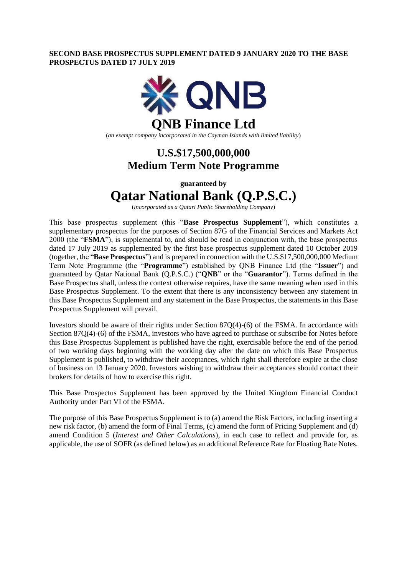# **SECOND BASE PROSPECTUS SUPPLEMENT DATED 9 JANUARY 2020 TO THE BASE PROSPECTUS DATED 17 JULY 2019**



(*an exempt company incorporated in the Cayman Islands with limited liability*)

# **U.S.\$17,500,000,000 Medium Term Note Programme**

**guaranteed by**

# **Qatar National Bank (Q.P.S.C.)**

(*incorporated as a Qatari Public Shareholding Company*)

This base prospectus supplement (this "**Base Prospectus Supplement**"), which constitutes a supplementary prospectus for the purposes of Section 87G of the Financial Services and Markets Act 2000 (the "**FSMA**"), is supplemental to, and should be read in conjunction with, the base prospectus dated 17 July 2019 as supplemented by the first base prospectus supplement dated 10 October 2019 (together, the "**Base Prospectus**") and is prepared in connection with the U.S.\$17,500,000,000 Medium Term Note Programme (the "**Programme**") established by QNB Finance Ltd (the "**Issuer**") and guaranteed by Qatar National Bank (Q.P.S.C.) ("**QNB**" or the "**Guarantor**"). Terms defined in the Base Prospectus shall, unless the context otherwise requires, have the same meaning when used in this Base Prospectus Supplement. To the extent that there is any inconsistency between any statement in this Base Prospectus Supplement and any statement in the Base Prospectus, the statements in this Base Prospectus Supplement will prevail.

Investors should be aware of their rights under Section 87Q(4)-(6) of the FSMA. In accordance with Section 87Q(4)-(6) of the FSMA, investors who have agreed to purchase or subscribe for Notes before this Base Prospectus Supplement is published have the right, exercisable before the end of the period of two working days beginning with the working day after the date on which this Base Prospectus Supplement is published, to withdraw their acceptances, which right shall therefore expire at the close of business on 13 January 2020. Investors wishing to withdraw their acceptances should contact their brokers for details of how to exercise this right.

This Base Prospectus Supplement has been approved by the United Kingdom Financial Conduct Authority under Part VI of the FSMA.

The purpose of this Base Prospectus Supplement is to (a) amend the Risk Factors, including inserting a new risk factor, (b) amend the form of Final Terms, (c) amend the form of Pricing Supplement and (d) amend Condition 5 (*Interest and Other Calculations*), in each case to reflect and provide for, as applicable, the use of SOFR (as defined below) as an additional Reference Rate for Floating Rate Notes.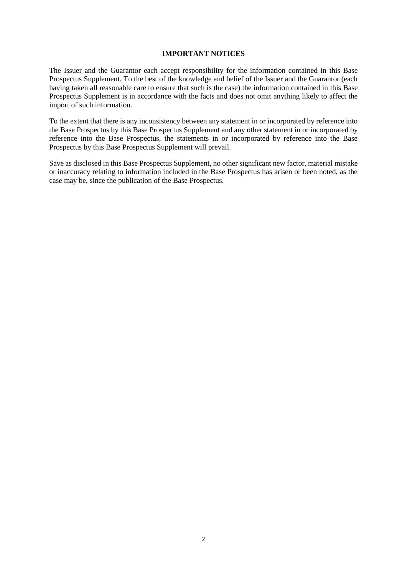# **IMPORTANT NOTICES**

The Issuer and the Guarantor each accept responsibility for the information contained in this Base Prospectus Supplement. To the best of the knowledge and belief of the Issuer and the Guarantor (each having taken all reasonable care to ensure that such is the case) the information contained in this Base Prospectus Supplement is in accordance with the facts and does not omit anything likely to affect the import of such information.

To the extent that there is any inconsistency between any statement in or incorporated by reference into the Base Prospectus by this Base Prospectus Supplement and any other statement in or incorporated by reference into the Base Prospectus, the statements in or incorporated by reference into the Base Prospectus by this Base Prospectus Supplement will prevail.

Save as disclosed in this Base Prospectus Supplement, no other significant new factor, material mistake or inaccuracy relating to information included in the Base Prospectus has arisen or been noted, as the case may be, since the publication of the Base Prospectus.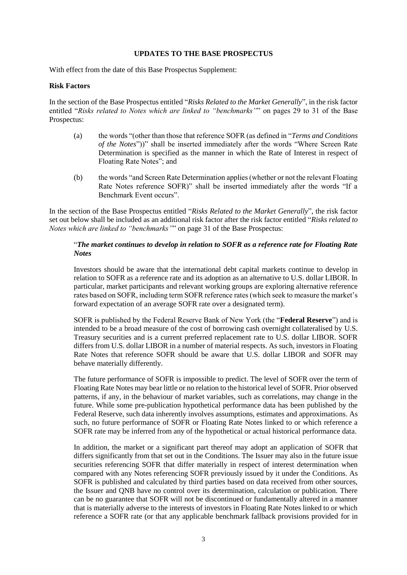# **UPDATES TO THE BASE PROSPECTUS**

With effect from the date of this Base Prospectus Supplement:

# **Risk Factors**

In the section of the Base Prospectus entitled "*Risks Related to the Market Generally*", in the risk factor entitled "*Risks related to Notes which are linked to "benchmarks"*" on pages 29 to 31 of the Base Prospectus:

- (a) the words "(other than those that reference SOFR (as defined in "*Terms and Conditions of the Notes*"))" shall be inserted immediately after the words "Where Screen Rate Determination is specified as the manner in which the Rate of Interest in respect of Floating Rate Notes"; and
- (b) the words "and Screen Rate Determination applies (whether or not the relevant Floating Rate Notes reference SOFR)" shall be inserted immediately after the words "If a Benchmark Event occurs".

In the section of the Base Prospectus entitled "*Risks Related to the Market Generally*", the risk factor set out below shall be included as an additional risk factor after the risk factor entitled "*Risks related to Notes which are linked to "benchmarks"*" on page 31 of the Base Prospectus:

# "*The market continues to develop in relation to SOFR as a reference rate for Floating Rate Notes*

Investors should be aware that the international debt capital markets continue to develop in relation to SOFR as a reference rate and its adoption as an alternative to U.S. dollar LIBOR. In particular, market participants and relevant working groups are exploring alternative reference rates based on SOFR, including term SOFR reference rates (which seek to measure the market's forward expectation of an average SOFR rate over a designated term).

SOFR is published by the Federal Reserve Bank of New York (the "**Federal Reserve**") and is intended to be a broad measure of the cost of borrowing cash overnight collateralised by U.S. Treasury securities and is a current preferred replacement rate to U.S. dollar LIBOR. SOFR differs from U.S. dollar LIBOR in a number of material respects. As such, investors in Floating Rate Notes that reference SOFR should be aware that U.S. dollar LIBOR and SOFR may behave materially differently.

The future performance of SOFR is impossible to predict. The level of SOFR over the term of Floating Rate Notes may bear little or no relation to the historical level of SOFR. Prior observed patterns, if any, in the behaviour of market variables, such as correlations, may change in the future. While some pre-publication hypothetical performance data has been published by the Federal Reserve, such data inherently involves assumptions, estimates and approximations. As such, no future performance of SOFR or Floating Rate Notes linked to or which reference a SOFR rate may be inferred from any of the hypothetical or actual historical performance data.

In addition, the market or a significant part thereof may adopt an application of SOFR that differs significantly from that set out in the Conditions. The Issuer may also in the future issue securities referencing SOFR that differ materially in respect of interest determination when compared with any Notes referencing SOFR previously issued by it under the Conditions. As SOFR is published and calculated by third parties based on data received from other sources, the Issuer and QNB have no control over its determination, calculation or publication. There can be no guarantee that SOFR will not be discontinued or fundamentally altered in a manner that is materially adverse to the interests of investors in Floating Rate Notes linked to or which reference a SOFR rate (or that any applicable benchmark fallback provisions provided for in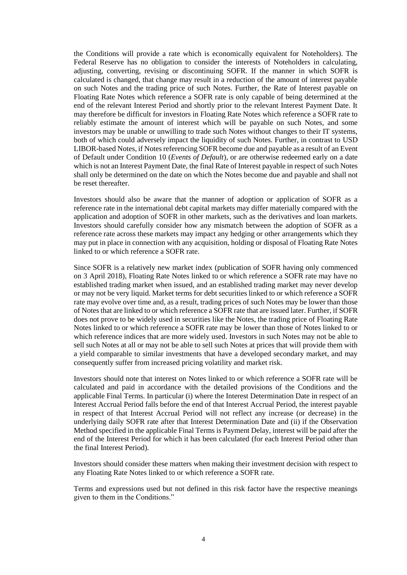the Conditions will provide a rate which is economically equivalent for Noteholders). The Federal Reserve has no obligation to consider the interests of Noteholders in calculating, adjusting, converting, revising or discontinuing SOFR. If the manner in which SOFR is calculated is changed, that change may result in a reduction of the amount of interest payable on such Notes and the trading price of such Notes. Further, the Rate of Interest payable on Floating Rate Notes which reference a SOFR rate is only capable of being determined at the end of the relevant Interest Period and shortly prior to the relevant Interest Payment Date. It may therefore be difficult for investors in Floating Rate Notes which reference a SOFR rate to reliably estimate the amount of interest which will be payable on such Notes, and some investors may be unable or unwilling to trade such Notes without changes to their IT systems, both of which could adversely impact the liquidity of such Notes. Further, in contrast to USD LIBOR-based Notes, if Notes referencing SOFR become due and payable as a result of an Event of Default under Condition 10 (*Events of Default*), or are otherwise redeemed early on a date which is not an Interest Payment Date, the final Rate of Interest payable in respect of such Notes shall only be determined on the date on which the Notes become due and payable and shall not be reset thereafter.

Investors should also be aware that the manner of adoption or application of SOFR as a reference rate in the international debt capital markets may differ materially compared with the application and adoption of SOFR in other markets, such as the derivatives and loan markets. Investors should carefully consider how any mismatch between the adoption of SOFR as a reference rate across these markets may impact any hedging or other arrangements which they may put in place in connection with any acquisition, holding or disposal of Floating Rate Notes linked to or which reference a SOFR rate.

Since SOFR is a relatively new market index (publication of SOFR having only commenced on 3 April 2018), Floating Rate Notes linked to or which reference a SOFR rate may have no established trading market when issued, and an established trading market may never develop or may not be very liquid. Market terms for debt securities linked to or which reference a SOFR rate may evolve over time and, as a result, trading prices of such Notes may be lower than those of Notes that are linked to or which reference a SOFR rate that are issued later. Further, if SOFR does not prove to be widely used in securities like the Notes, the trading price of Floating Rate Notes linked to or which reference a SOFR rate may be lower than those of Notes linked to or which reference indices that are more widely used. Investors in such Notes may not be able to sell such Notes at all or may not be able to sell such Notes at prices that will provide them with a yield comparable to similar investments that have a developed secondary market, and may consequently suffer from increased pricing volatility and market risk.

Investors should note that interest on Notes linked to or which reference a SOFR rate will be calculated and paid in accordance with the detailed provisions of the Conditions and the applicable Final Terms. In particular (i) where the Interest Determination Date in respect of an Interest Accrual Period falls before the end of that Interest Accrual Period, the interest payable in respect of that Interest Accrual Period will not reflect any increase (or decrease) in the underlying daily SOFR rate after that Interest Determination Date and (ii) if the Observation Method specified in the applicable Final Terms is Payment Delay, interest will be paid after the end of the Interest Period for which it has been calculated (for each Interest Period other than the final Interest Period).

Investors should consider these matters when making their investment decision with respect to any Floating Rate Notes linked to or which reference a SOFR rate.

Terms and expressions used but not defined in this risk factor have the respective meanings given to them in the Conditions."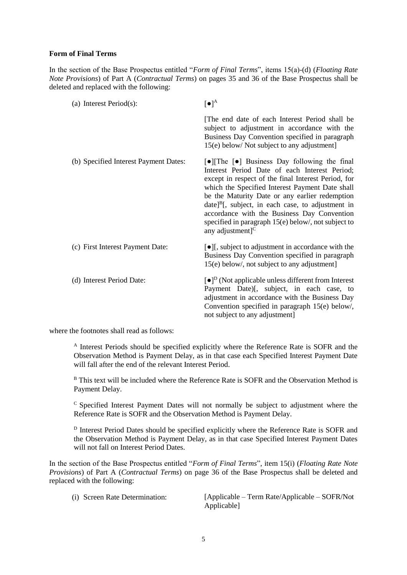# **Form of Final Terms**

In the section of the Base Prospectus entitled "*Form of Final Terms*", items 15(a)-(d) (*Floating Rate Note Provisions*) of Part A (*Contractual Terms*) on pages 35 and 36 of the Base Prospectus shall be deleted and replaced with the following:

| (a) Interest Period $(s)$ :           | $[\bullet]^A$                                                                                                                                                                                                                                                                                                                                                                                                                                                                        |
|---------------------------------------|--------------------------------------------------------------------------------------------------------------------------------------------------------------------------------------------------------------------------------------------------------------------------------------------------------------------------------------------------------------------------------------------------------------------------------------------------------------------------------------|
|                                       | The end date of each Interest Period shall be<br>subject to adjustment in accordance with the<br>Business Day Convention specified in paragraph<br>15(e) below/ Not subject to any adjustment]                                                                                                                                                                                                                                                                                       |
| (b) Specified Interest Payment Dates: | [ $\bullet$ ][The $\lceil\bullet\rceil$ Business Day following the final<br>Interest Period Date of each Interest Period;<br>except in respect of the final Interest Period, for<br>which the Specified Interest Payment Date shall<br>be the Maturity Date or any earlier redemption<br>$date]^B$ , subject, in each case, to adjustment in<br>accordance with the Business Day Convention<br>specified in paragraph $15(e)$ below/, not subject to<br>any adjustment] <sup>C</sup> |
| (c) First Interest Payment Date:      | [•][, subject to adjustment in accordance with the<br>Business Day Convention specified in paragraph<br>15(e) below/, not subject to any adjustment]                                                                                                                                                                                                                                                                                                                                 |
| (d) Interest Period Date:             | $\lceil \bullet \rceil^D$ (Not applicable unless different from Interest<br>Payment Date)[, subject, in each case, to<br>adjustment in accordance with the Business Day<br>Convention specified in paragraph 15(e) below/,<br>not subject to any adjustment]                                                                                                                                                                                                                         |

where the footnotes shall read as follows:

<sup>A</sup> Interest Periods should be specified explicitly where the Reference Rate is SOFR and the Observation Method is Payment Delay, as in that case each Specified Interest Payment Date will fall after the end of the relevant Interest Period.

<sup>B</sup> This text will be included where the Reference Rate is SOFR and the Observation Method is Payment Delay.

<sup>C</sup> Specified Interest Payment Dates will not normally be subject to adjustment where the Reference Rate is SOFR and the Observation Method is Payment Delay.

<sup>D</sup> Interest Period Dates should be specified explicitly where the Reference Rate is SOFR and the Observation Method is Payment Delay, as in that case Specified Interest Payment Dates will not fall on Interest Period Dates.

In the section of the Base Prospectus entitled "*Form of Final Terms*", item 15(i) (*Floating Rate Note Provisions*) of Part A (*Contractual Terms*) on page 36 of the Base Prospectus shall be deleted and replaced with the following:

|  |  | (i) Screen Rate Determination: |  |
|--|--|--------------------------------|--|
|--|--|--------------------------------|--|

 $[Applicable - Term Rate/Applicable - SOFR/Not]$ Applicable<sup>1</sup>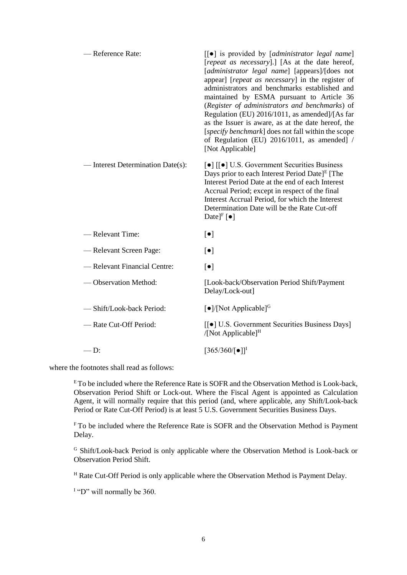| - Reference Rate:                 | $\left[\left[\bullet\right]\right]$ is provided by [administrator legal name]<br>[repeat as necessary].] [As at the date hereof,<br>[administrator legal name] [appears]/[does not<br>appear] [repeat as necessary] in the register of<br>administrators and benchmarks established and<br>maintained by ESMA pursuant to Article 36<br>(Register of administrators and benchmarks) of<br>Regulation (EU) 2016/1011, as amended]/[As far<br>as the Issuer is aware, as at the date hereof, the<br>[specify benchmark] does not fall within the scope<br>of Regulation (EU) 2016/1011, as amended] /<br>[Not Applicable] |
|-----------------------------------|-------------------------------------------------------------------------------------------------------------------------------------------------------------------------------------------------------------------------------------------------------------------------------------------------------------------------------------------------------------------------------------------------------------------------------------------------------------------------------------------------------------------------------------------------------------------------------------------------------------------------|
| - Interest Determination Date(s): | $\lceil \bullet \rceil$ $\lceil \lceil \bullet \rceil$ U.S. Government Securities Business<br>Days prior to each Interest Period Date] <sup>E</sup> [The<br>Interest Period Date at the end of each Interest<br>Accrual Period; except in respect of the final<br>Interest Accrual Period, for which the Interest<br>Determination Date will be the Rate Cut-off<br>Date] <sup>F</sup> $\lceil \bullet \rceil$                                                                                                                                                                                                          |
| -Relevant Time:                   | $\lceil \bullet \rceil$                                                                                                                                                                                                                                                                                                                                                                                                                                                                                                                                                                                                 |
| - Relevant Screen Page:           | $\lceil \bullet \rceil$                                                                                                                                                                                                                                                                                                                                                                                                                                                                                                                                                                                                 |
| - Relevant Financial Centre:      | $\lceil \bullet \rceil$                                                                                                                                                                                                                                                                                                                                                                                                                                                                                                                                                                                                 |
| -Observation Method:              | [Look-back/Observation Period Shift/Payment<br>Delay/Lock-out]                                                                                                                                                                                                                                                                                                                                                                                                                                                                                                                                                          |
| -Shift/Look-back Period:          | $\lceil \bullet \rceil / [\text{Not Applied}]^G$                                                                                                                                                                                                                                                                                                                                                                                                                                                                                                                                                                        |
| - Rate Cut-Off Period:            | [[ $\bullet$ ] U.S. Government Securities Business Days]<br>/[Not Applicable] $^H$                                                                                                                                                                                                                                                                                                                                                                                                                                                                                                                                      |
| $-D:$                             | $[365/360/[\bullet]]^{I}$                                                                                                                                                                                                                                                                                                                                                                                                                                                                                                                                                                                               |

where the footnotes shall read as follows:

 $E$ To be included where the Reference Rate is SOFR and the Observation Method is Look-back, Observation Period Shift or Lock-out. Where the Fiscal Agent is appointed as Calculation Agent, it will normally require that this period (and, where applicable, any Shift/Look-back Period or Rate Cut-Off Period) is at least 5 U.S. Government Securities Business Days.

<sup>F</sup> To be included where the Reference Rate is SOFR and the Observation Method is Payment Delay.

<sup>G</sup> Shift/Look-back Period is only applicable where the Observation Method is Look-back or Observation Period Shift.

<sup>H</sup> Rate Cut-Off Period is only applicable where the Observation Method is Payment Delay.

<sup>I</sup> "D" will normally be 360.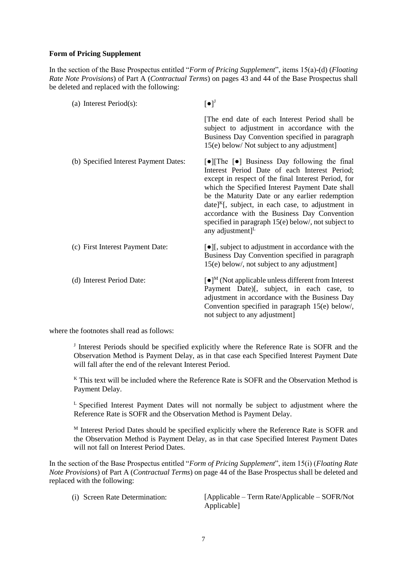# **Form of Pricing Supplement**

In the section of the Base Prospectus entitled "*Form of Pricing Supplement*", items 15(a)-(d) (*Floating Rate Note Provisions*) of Part A (*Contractual Terms*) on pages 43 and 44 of the Base Prospectus shall be deleted and replaced with the following:

| (a) Interest Period $(s)$ :           | $\left[\bullet\right]$ <sup><math>J</math></sup>                                                                                                                                                                                                                                                                                                                                                                                                                                                    |
|---------------------------------------|-----------------------------------------------------------------------------------------------------------------------------------------------------------------------------------------------------------------------------------------------------------------------------------------------------------------------------------------------------------------------------------------------------------------------------------------------------------------------------------------------------|
|                                       | The end date of each Interest Period shall be<br>subject to adjustment in accordance with the<br>Business Day Convention specified in paragraph<br>15(e) below/ Not subject to any adjustment]                                                                                                                                                                                                                                                                                                      |
| (b) Specified Interest Payment Dates: | [ $\bullet$ ][The $\lceil\bullet\rceil$ Business Day following the final<br>Interest Period Date of each Interest Period;<br>except in respect of the final Interest Period, for<br>which the Specified Interest Payment Date shall<br>be the Maturity Date or any earlier redemption<br>$\text{date}^{\text{K}}$ , subject, in each case, to adjustment in<br>accordance with the Business Day Convention<br>specified in paragraph $15(e)$ below/, not subject to<br>any adjustment] <sup>L</sup> |
| (c) First Interest Payment Date:      | [•][, subject to adjustment in accordance with the<br>Business Day Convention specified in paragraph<br>15(e) below/, not subject to any adjustment]                                                                                                                                                                                                                                                                                                                                                |
| (d) Interest Period Date:             | $\lceil \bullet \rceil^M$ (Not applicable unless different from Interest<br>Payment Date)[, subject, in each case, to<br>adjustment in accordance with the Business Day<br>Convention specified in paragraph 15(e) below/,<br>not subject to any adjustment]                                                                                                                                                                                                                                        |

where the footnotes shall read as follows:

I Interest Periods should be specified explicitly where the Reference Rate is SOFR and the Observation Method is Payment Delay, as in that case each Specified Interest Payment Date will fall after the end of the relevant Interest Period.

 $K$  This text will be included where the Reference Rate is SOFR and the Observation Method is Payment Delay.

<sup>L</sup> Specified Interest Payment Dates will not normally be subject to adjustment where the Reference Rate is SOFR and the Observation Method is Payment Delay.

 $M$  Interest Period Dates should be specified explicitly where the Reference Rate is SOFR and the Observation Method is Payment Delay, as in that case Specified Interest Payment Dates will not fall on Interest Period Dates.

In the section of the Base Prospectus entitled "*Form of Pricing Supplement*", item 15(i) (*Floating Rate Note Provisions*) of Part A (*Contractual Terms*) on page 44 of the Base Prospectus shall be deleted and replaced with the following:

|  |  |  |  | (i) Screen Rate Determination: |
|--|--|--|--|--------------------------------|
|--|--|--|--|--------------------------------|

 $[Applicable - Term Rate/Applicable - SOFR/Not]$ Applicable]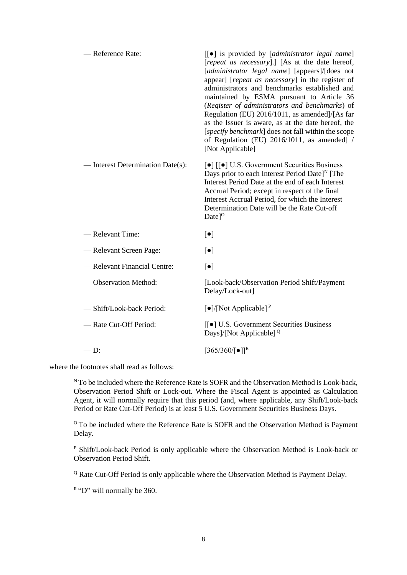| -Reference Rate:                  | $\lceil \cdot \rceil$ is provided by [administrator legal name]<br>[repeat as necessary].] [As at the date hereof,<br>[administrator legal name] [appears]/[does not<br>appear] [repeat as necessary] in the register of<br>administrators and benchmarks established and<br>maintained by ESMA pursuant to Article 36<br>(Register of administrators and benchmarks) of<br>Regulation (EU) 2016/1011, as amended]/[As far<br>as the Issuer is aware, as at the date hereof, the<br>[specify benchmark] does not fall within the scope<br>of Regulation (EU) 2016/1011, as amended] /<br>[Not Applicable] |
|-----------------------------------|-----------------------------------------------------------------------------------------------------------------------------------------------------------------------------------------------------------------------------------------------------------------------------------------------------------------------------------------------------------------------------------------------------------------------------------------------------------------------------------------------------------------------------------------------------------------------------------------------------------|
| - Interest Determination Date(s): | $\lceil \bullet \rceil$ $\lceil \cdot \rceil$ U.S. Government Securities Business<br>Days prior to each Interest Period Date] <sup>N</sup> [The<br>Interest Period Date at the end of each Interest<br>Accrual Period; except in respect of the final<br>Interest Accrual Period, for which the Interest<br>Determination Date will be the Rate Cut-off<br>$Date$ <sup><math>0</math></sup>                                                                                                                                                                                                               |
| -Relevant Time:                   | $\lbrack \bullet \rbrack$                                                                                                                                                                                                                                                                                                                                                                                                                                                                                                                                                                                 |
| - Relevant Screen Page:           | $\lceil \bullet \rceil$                                                                                                                                                                                                                                                                                                                                                                                                                                                                                                                                                                                   |
| - Relevant Financial Centre:      | $\lbrack \bullet \rbrack$                                                                                                                                                                                                                                                                                                                                                                                                                                                                                                                                                                                 |
| -Observation Method:              | [Look-back/Observation Period Shift/Payment<br>Delay/Lock-out]                                                                                                                                                                                                                                                                                                                                                                                                                                                                                                                                            |
| -Shift/Look-back Period:          | $\lceil \bullet \rceil / [\text{Not Applicable}]^P$                                                                                                                                                                                                                                                                                                                                                                                                                                                                                                                                                       |
| - Rate Cut-Off Period:            | [[ $\bullet$ ] U.S. Government Securities Business<br>Days]/[Not Applicable] $^{\mathbb{Q}}$                                                                                                                                                                                                                                                                                                                                                                                                                                                                                                              |
| $-D:$                             | $[365/360/[\bullet]]^R$                                                                                                                                                                                                                                                                                                                                                                                                                                                                                                                                                                                   |

where the footnotes shall read as follows:

 $N$ To be included where the Reference Rate is SOFR and the Observation Method is Look-back, Observation Period Shift or Lock-out. Where the Fiscal Agent is appointed as Calculation Agent, it will normally require that this period (and, where applicable, any Shift/Look-back Period or Rate Cut-Off Period) is at least 5 U.S. Government Securities Business Days.

<sup>o</sup> To be included where the Reference Rate is SOFR and the Observation Method is Payment Delay.

<sup>P</sup> Shift/Look-back Period is only applicable where the Observation Method is Look-back or Observation Period Shift.

<sup>Q</sup> Rate Cut-Off Period is only applicable where the Observation Method is Payment Delay.

 $R$ "D" will normally be 360.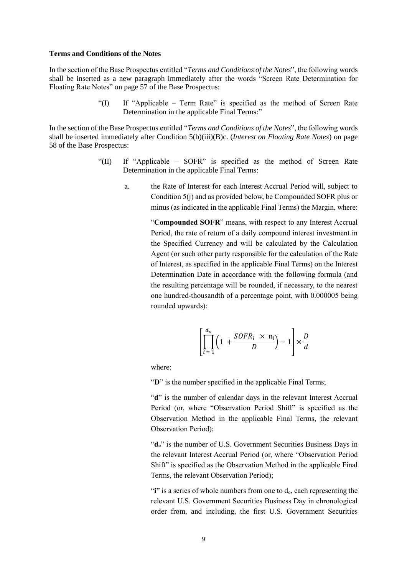#### **Terms and Conditions of the Notes**

In the section of the Base Prospectus entitled "*Terms and Conditions of the Notes*", the following words shall be inserted as a new paragraph immediately after the words "Screen Rate Determination for Floating Rate Notes" on page 57 of the Base Prospectus:

> "(I) If "Applicable – Term Rate" is specified as the method of Screen Rate Determination in the applicable Final Terms:"

In the section of the Base Prospectus entitled "*Terms and Conditions of the Notes*", the following words shall be inserted immediately after Condition 5(b)(iii)(B)c. (*Interest on Floating Rate Notes*) on page 58 of the Base Prospectus:

- "(II) If "Applicable SOFR" is specified as the method of Screen Rate Determination in the applicable Final Terms:
	- a. the Rate of Interest for each Interest Accrual Period will, subject to Condition 5(j) and as provided below, be Compounded SOFR plus or minus (as indicated in the applicable Final Terms) the Margin, where:

"**Compounded SOFR**" means, with respect to any Interest Accrual Period, the rate of return of a daily compound interest investment in the Specified Currency and will be calculated by the Calculation Agent (or such other party responsible for the calculation of the Rate of Interest, as specified in the applicable Final Terms) on the Interest Determination Date in accordance with the following formula (and the resulting percentage will be rounded, if necessary, to the nearest one hundred-thousandth of a percentage point, with 0.000005 being rounded upwards):

$$
\left[\prod_{i=1}^{d_o} \left(1 + \frac{SOFR_i \times n_i}{D}\right) - 1\right] \times \frac{D}{d}
$$

where:

"D" is the number specified in the applicable Final Terms;

"d" is the number of calendar days in the relevant Interest Accrual Period (or, where "Observation Period Shift" is specified as the Observation Method in the applicable Final Terms, the relevant Observation Period);

"**do**" is the number of U.S. Government Securities Business Days in the relevant Interest Accrual Period (or, where "Observation Period Shift" is specified as the Observation Method in the applicable Final Terms, the relevant Observation Period);

"**i**" is a series of whole numbers from one to  $d_0$ , each representing the relevant U.S. Government Securities Business Day in chronological order from, and including, the first U.S. Government Securities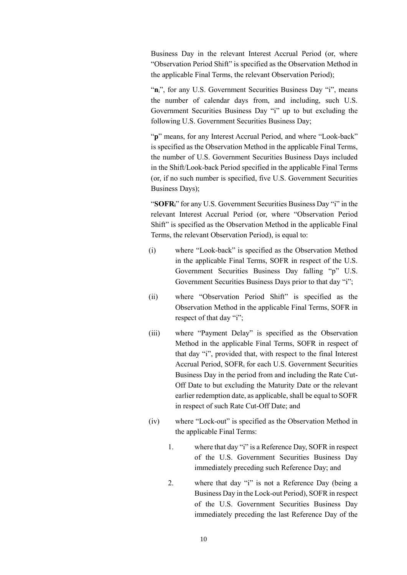Business Day in the relevant Interest Accrual Period (or, where "Observation Period Shift" is specified as the Observation Method in the applicable Final Terms, the relevant Observation Period);

"ni", for any U.S. Government Securities Business Day "i", means the number of calendar days from, and including, such U.S. Government Securities Business Day "i" up to but excluding the following U.S. Government Securities Business Day;

"p" means, for any Interest Accrual Period, and where "Look-back" is specified as the Observation Method in the applicable Final Terms, the number of U.S. Government Securities Business Days included in the Shift/Look-back Period specified in the applicable Final Terms (or, if no such number is specified, five U.S. Government Securities Business Days);

"**SOFRi**" for any U.S. Government Securities Business Day "i" in the relevant Interest Accrual Period (or, where "Observation Period Shift" is specified as the Observation Method in the applicable Final Terms, the relevant Observation Period), is equal to:

- (i) where "Look-back" is specified as the Observation Method in the applicable Final Terms, SOFR in respect of the U.S. Government Securities Business Day falling "p" U.S. Government Securities Business Days prior to that day "i";
- (ii) where "Observation Period Shift" is specified as the Observation Method in the applicable Final Terms, SOFR in respect of that day "i";
- (iii) where "Payment Delay" is specified as the Observation Method in the applicable Final Terms, SOFR in respect of that day "i", provided that, with respect to the final Interest Accrual Period, SOFR<sup>i</sup> for each U.S. Government Securities Business Day in the period from and including the Rate Cut-Off Date to but excluding the Maturity Date or the relevant earlier redemption date, as applicable, shall be equal to SOFR in respect of such Rate Cut-Off Date; and
- (iv) where "Lock-out" is specified as the Observation Method in the applicable Final Terms:
	- 1. where that day "i" is a Reference Day, SOFR in respect of the U.S. Government Securities Business Day immediately preceding such Reference Day; and
	- 2. where that day "i" is not a Reference Day (being a Business Day in the Lock-out Period), SOFR in respect of the U.S. Government Securities Business Day immediately preceding the last Reference Day of the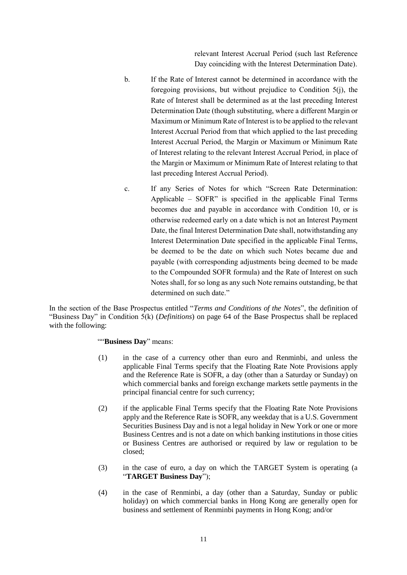relevant Interest Accrual Period (such last Reference Day coinciding with the Interest Determination Date).

- b. If the Rate of Interest cannot be determined in accordance with the foregoing provisions, but without prejudice to Condition 5(j), the Rate of Interest shall be determined as at the last preceding Interest Determination Date (though substituting, where a different Margin or Maximum or Minimum Rate of Interest is to be applied to the relevant Interest Accrual Period from that which applied to the last preceding Interest Accrual Period, the Margin or Maximum or Minimum Rate of Interest relating to the relevant Interest Accrual Period, in place of the Margin or Maximum or Minimum Rate of Interest relating to that last preceding Interest Accrual Period).
- c. If any Series of Notes for which "Screen Rate Determination: Applicable – SOFR" is specified in the applicable Final Terms becomes due and payable in accordance with Condition 10, or is otherwise redeemed early on a date which is not an Interest Payment Date, the final Interest Determination Date shall, notwithstanding any Interest Determination Date specified in the applicable Final Terms, be deemed to be the date on which such Notes became due and payable (with corresponding adjustments being deemed to be made to the Compounded SOFR formula) and the Rate of Interest on such Notes shall, for so long as any such Note remains outstanding, be that determined on such date."

In the section of the Base Prospectus entitled "*Terms and Conditions of the Notes*", the definition of "Business Day" in Condition 5(k) (*Definitions*) on page 64 of the Base Prospectus shall be replaced with the following:

# ""**Business Day**" means:

- (1) in the case of a currency other than euro and Renminbi, and unless the applicable Final Terms specify that the Floating Rate Note Provisions apply and the Reference Rate is SOFR, a day (other than a Saturday or Sunday) on which commercial banks and foreign exchange markets settle payments in the principal financial centre for such currency;
- (2) if the applicable Final Terms specify that the Floating Rate Note Provisions apply and the Reference Rate is SOFR, any weekday that is a U.S. Government Securities Business Day and is not a legal holiday in New York or one or more Business Centres and is not a date on which banking institutions in those cities or Business Centres are authorised or required by law or regulation to be closed;
- (3) in the case of euro, a day on which the TARGET System is operating (a "**TARGET Business Day**");
- (4) in the case of Renminbi, a day (other than a Saturday, Sunday or public holiday) on which commercial banks in Hong Kong are generally open for business and settlement of Renminbi payments in Hong Kong; and/or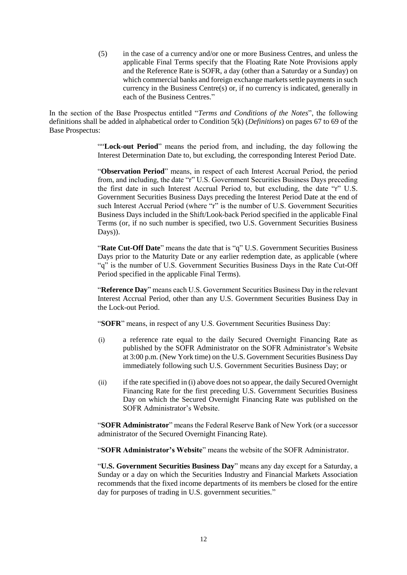(5) in the case of a currency and/or one or more Business Centres, and unless the applicable Final Terms specify that the Floating Rate Note Provisions apply and the Reference Rate is SOFR, a day (other than a Saturday or a Sunday) on which commercial banks and foreign exchange markets settle payments in such currency in the Business Centre(s) or, if no currency is indicated, generally in each of the Business Centres."

In the section of the Base Prospectus entitled "*Terms and Conditions of the Notes*", the following definitions shall be added in alphabetical order to Condition 5(k) (*Definitions*) on pages 67 to 69 of the Base Prospectus:

> ""**Lock-out Period**" means the period from, and including, the day following the Interest Determination Date to, but excluding, the corresponding Interest Period Date.

> "**Observation Period**" means, in respect of each Interest Accrual Period, the period from, and including, the date "r" U.S. Government Securities Business Days preceding the first date in such Interest Accrual Period to, but excluding, the date "r" U.S. Government Securities Business Days preceding the Interest Period Date at the end of such Interest Accrual Period (where " $\vec{r}$ " is the number of U.S. Government Securities Business Days included in the Shift/Look-back Period specified in the applicable Final Terms (or, if no such number is specified, two U.S. Government Securities Business Days)).

> "**Rate Cut-Off Date**" means the date that is "q" U.S. Government Securities Business Days prior to the Maturity Date or any earlier redemption date, as applicable (where "q" is the number of U.S. Government Securities Business Days in the Rate Cut-Off Period specified in the applicable Final Terms).

> "**Reference Day**" means each U.S. Government Securities Business Day in the relevant Interest Accrual Period, other than any U.S. Government Securities Business Day in the Lock-out Period.

"**SOFR**" means, in respect of any U.S. Government Securities Business Day:

- (i) a reference rate equal to the daily Secured Overnight Financing Rate as published by the SOFR Administrator on the SOFR Administrator's Website at 3:00 p.m. (New York time) on the U.S. Government Securities Business Day immediately following such U.S. Government Securities Business Day; or
- (ii) if the rate specified in (i) above does not so appear, the daily Secured Overnight Financing Rate for the first preceding U.S. Government Securities Business Day on which the Secured Overnight Financing Rate was published on the SOFR Administrator's Website.

"**SOFR Administrator**" means the Federal Reserve Bank of New York (or a successor administrator of the Secured Overnight Financing Rate).

"**SOFR Administrator's Website**" means the website of the SOFR Administrator.

"**U.S. Government Securities Business Day**" means any day except for a Saturday, a Sunday or a day on which the Securities Industry and Financial Markets Association recommends that the fixed income departments of its members be closed for the entire day for purposes of trading in U.S. government securities."